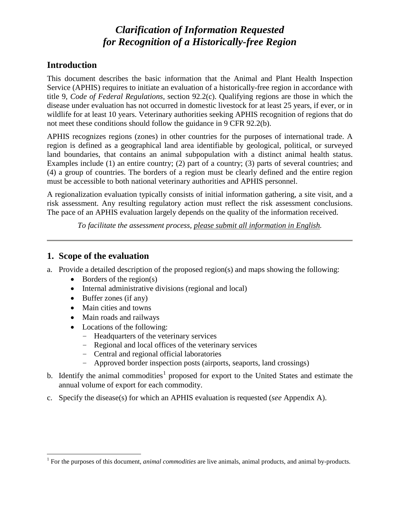# *Clarification of Information Requested for Recognition of a Historically-free Region*

### **Introduction**

This document describes the basic information that the Animal and Plant Health Inspection Service (APHIS) requires to initiate an evaluation of a historically-free region in accordance with title 9, *Code of Federal Regulations,* section 92.2(c). Qualifying regions are those in which the disease under evaluation has not occurred in domestic livestock for at least 25 years, if ever, or in wildlife for at least 10 years. Veterinary authorities seeking APHIS recognition of regions that do not meet these conditions should follow the guidance in 9 CFR 92.2(b).

APHIS recognizes regions (zones) in other countries for the purposes of international trade. A region is defined as a geographical land area identifiable by geological, political, or surveyed land boundaries, that contains an animal subpopulation with a distinct animal health status. Examples include (1) an entire country; (2) part of a country; (3) parts of several countries; and (4) a group of countries. The borders of a region must be clearly defined and the entire region must be accessible to both national veterinary authorities and APHIS personnel.

A regionalization evaluation typically consists of initial information gathering, a site visit, and a risk assessment. Any resulting regulatory action must reflect the risk assessment conclusions. The pace of an APHIS evaluation largely depends on the quality of the information received.

*To facilitate the assessment process, please submit all information in English.*

### **1. Scope of the evaluation**

- a. Provide a detailed description of the proposed region(s) and maps showing the following:
	- Borders of the region(s)
	- Internal administrative divisions (regional and local)
	- Buffer zones (if any)
	- Main cities and towns
	- Main roads and railways
	- Locations of the following:
		- − Headquarters of the veterinary services
		- − Regional and local offices of the veterinary services
		- − Central and regional official laboratories
		- − Approved border inspection posts (airports, seaports, land crossings)
- b. Identify the animal commodities<sup>[1](#page-0-0)</sup> proposed for export to the United States and estimate the annual volume of export for each commodity.
- c. Specify the disease(s) for which an APHIS evaluation is requested (*see* Appendix A).

<span id="page-0-0"></span> <sup>1</sup> For the purposes of this document, *animal commodities* are live animals, animal products, and animal by-products.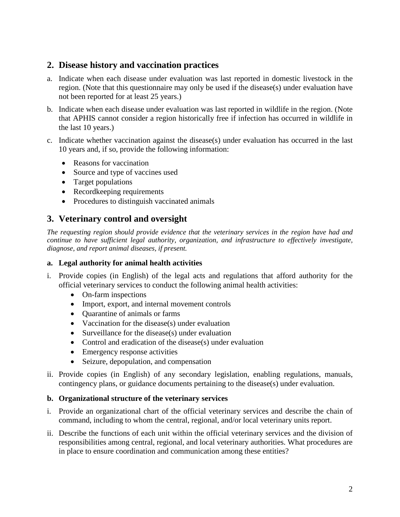#### **2. Disease history and vaccination practices**

- a. Indicate when each disease under evaluation was last reported in domestic livestock in the region. (Note that this questionnaire may only be used if the disease(s) under evaluation have not been reported for at least 25 years.)
- b. Indicate when each disease under evaluation was last reported in wildlife in the region. (Note that APHIS cannot consider a region historically free if infection has occurred in wildlife in the last 10 years.)
- c. Indicate whether vaccination against the disease(s) under evaluation has occurred in the last 10 years and, if so, provide the following information:
	- Reasons for vaccination
	- Source and type of vaccines used
	- Target populations
	- Recordkeeping requirements
	- Procedures to distinguish vaccinated animals

# **3. Veterinary control and oversight**

*The requesting region should provide evidence that the veterinary services in the region have had and continue to have sufficient legal authority, organization, and infrastructure to effectively investigate, diagnose, and report animal diseases, if present.* 

#### **a. Legal authority for animal health activities**

- i. Provide copies (in English) of the legal acts and regulations that afford authority for the official veterinary services to conduct the following animal health activities:
	- On-farm inspections
	- Import, export, and internal movement controls
	- Quarantine of animals or farms
	- Vaccination for the disease(s) under evaluation
	- Surveillance for the disease(s) under evaluation
	- Control and eradication of the disease(s) under evaluation
	- Emergency response activities
	- Seizure, depopulation, and compensation
- ii. Provide copies (in English) of any secondary legislation, enabling regulations, manuals, contingency plans, or guidance documents pertaining to the disease(s) under evaluation.

#### **b. Organizational structure of the veterinary services**

- i. Provide an organizational chart of the official veterinary services and describe the chain of command, including to whom the central, regional, and/or local veterinary units report.
- ii. Describe the functions of each unit within the official veterinary services and the division of responsibilities among central, regional, and local veterinary authorities. What procedures are in place to ensure coordination and communication among these entities?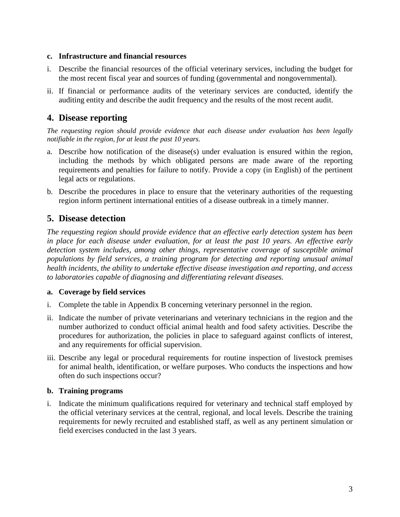#### **c. Infrastructure and financial resources**

- i. Describe the financial resources of the official veterinary services, including the budget for the most recent fiscal year and sources of funding (governmental and nongovernmental).
- ii. If financial or performance audits of the veterinary services are conducted, identify the auditing entity and describe the audit frequency and the results of the most recent audit.

### **4. Disease reporting**

*The requesting region should provide evidence that each disease under evaluation has been legally notifiable in the region, for at least the past 10 years.*

- a. Describe how notification of the disease(s) under evaluation is ensured within the region, including the methods by which obligated persons are made aware of the reporting requirements and penalties for failure to notify. Provide a copy (in English) of the pertinent legal acts or regulations.
- b. Describe the procedures in place to ensure that the veterinary authorities of the requesting region inform pertinent international entities of a disease outbreak in a timely manner.

# **5. Disease detection**

*The requesting region should provide evidence that an effective early detection system has been in place for each disease under evaluation, for at least the past 10 years. An effective early detection system includes, among other things, representative coverage of susceptible animal populations by field services, a training program for detecting and reporting unusual animal health incidents, the ability to undertake effective disease investigation and reporting, and access to laboratories capable of diagnosing and differentiating relevant diseases.*

#### **a. Coverage by field services**

- i. Complete the table in Appendix B concerning veterinary personnel in the region.
- ii. Indicate the number of private veterinarians and veterinary technicians in the region and the number authorized to conduct official animal health and food safety activities. Describe the procedures for authorization, the policies in place to safeguard against conflicts of interest, and any requirements for official supervision.
- iii. Describe any legal or procedural requirements for routine inspection of livestock premises for animal health, identification, or welfare purposes. Who conducts the inspections and how often do such inspections occur?

#### **b. Training programs**

i. Indicate the minimum qualifications required for veterinary and technical staff employed by the official veterinary services at the central, regional, and local levels. Describe the training requirements for newly recruited and established staff, as well as any pertinent simulation or field exercises conducted in the last 3 years.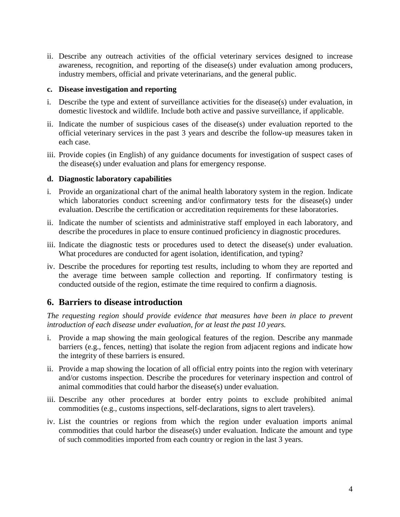ii. Describe any outreach activities of the official veterinary services designed to increase awareness, recognition, and reporting of the disease(s) under evaluation among producers, industry members, official and private veterinarians, and the general public.

#### **c. Disease investigation and reporting**

- i. Describe the type and extent of surveillance activities for the disease(s) under evaluation, in domestic livestock and wildlife. Include both active and passive surveillance, if applicable.
- ii. Indicate the number of suspicious cases of the disease(s) under evaluation reported to the official veterinary services in the past 3 years and describe the follow-up measures taken in each case.
- iii. Provide copies (in English) of any guidance documents for investigation of suspect cases of the disease(s) under evaluation and plans for emergency response.

#### **d. Diagnostic laboratory capabilities**

- i. Provide an organizational chart of the animal health laboratory system in the region. Indicate which laboratories conduct screening and/or confirmatory tests for the disease(s) under evaluation. Describe the certification or accreditation requirements for these laboratories.
- ii. Indicate the number of scientists and administrative staff employed in each laboratory, and describe the procedures in place to ensure continued proficiency in diagnostic procedures.
- iii. Indicate the diagnostic tests or procedures used to detect the disease(s) under evaluation. What procedures are conducted for agent isolation, identification, and typing?
- iv. Describe the procedures for reporting test results, including to whom they are reported and the average time between sample collection and reporting. If confirmatory testing is conducted outside of the region, estimate the time required to confirm a diagnosis.

#### **6. Barriers to disease introduction**

*The requesting region should provide evidence that measures have been in place to prevent introduction of each disease under evaluation, for at least the past 10 years.*

- i. Provide a map showing the main geological features of the region. Describe any manmade barriers (e.g., fences, netting) that isolate the region from adjacent regions and indicate how the integrity of these barriers is ensured.
- ii. Provide a map showing the location of all official entry points into the region with veterinary and/or customs inspection. Describe the procedures for veterinary inspection and control of animal commodities that could harbor the disease(s) under evaluation.
- iii. Describe any other procedures at border entry points to exclude prohibited animal commodities (e.g., customs inspections, self-declarations, signs to alert travelers).
- iv. List the countries or regions from which the region under evaluation imports animal commodities that could harbor the disease(s) under evaluation. Indicate the amount and type of such commodities imported from each country or region in the last 3 years.